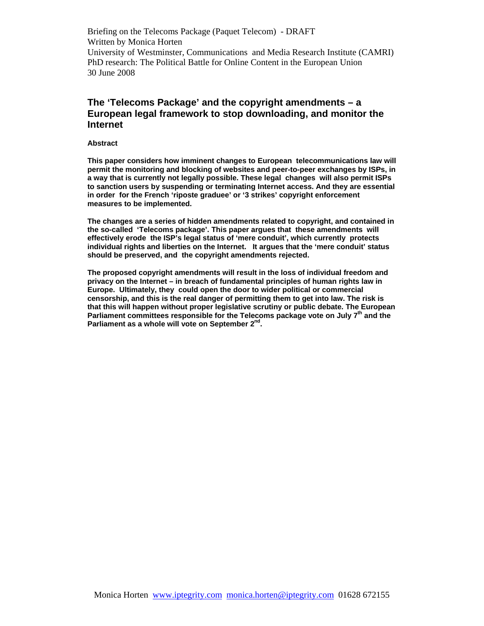# **The 'Telecoms Package' and the copyright amendments – a European legal framework to stop downloading, and monitor the Internet**

### **Abstract**

**This paper considers how imminent changes to European telecommunications law will permit the monitoring and blocking of websites and peer-to-peer exchanges by ISPs, in a way that is currently not legally possible. These legal changes will also permit ISPs to sanction users by suspending or terminating Internet access. And they are essential in order for the French 'riposte graduee' or '3 strikes' copyright enforcement measures to be implemented.** 

**The changes are a series of hidden amendments related to copyright, and contained in the so-called 'Telecoms package'. This paper argues that these amendments will effectively erode the ISP's legal status of 'mere conduit', which currently protects individual rights and liberties on the Internet. It argues that the 'mere conduit' status should be preserved, and the copyright amendments rejected.** 

**The proposed copyright amendments will result in the loss of individual freedom and privacy on the Internet – in breach of fundamental principles of human rights law in Europe. Ultimately, they could open the door to wider political or commercial censorship, and this is the real danger of permitting them to get into law. The risk is that this will happen without proper legislative scrutiny or public debate. The European**  Parliament committees responsible for the Telecoms package vote on July 7<sup>th</sup> and the Parliament as a whole will vote on September 2<sup>nd</sup>.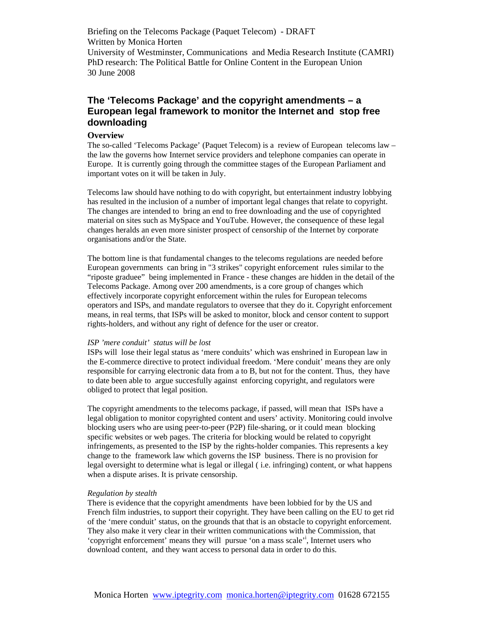# **The 'Telecoms Package' and the copyright amendments – a European legal framework to monitor the Internet and stop free downloading**

# **Overview**

The so-called 'Telecoms Package' (Paquet Telecom) is a review of European telecoms law – the law the governs how Internet service providers and telephone companies can operate in Europe. It is currently going through the committee stages of the European Parliament and important votes on it will be taken in July.

Telecoms law should have nothing to do with copyright, but entertainment industry lobbying has resulted in the inclusion of a number of important legal changes that relate to copyright. The changes are intended to bring an end to free downloading and the use of copyrighted material on sites such as MySpace and YouTube. However, the consequence of these legal changes heralds an even more sinister prospect of censorship of the Internet by corporate organisations and/or the State.

The bottom line is that fundamental changes to the telecoms regulations are needed before European governments can bring in "3 strikes" copyright enforcement rules similar to the "riposte graduee" being implemented in France - these changes are hidden in the detail of the Telecoms Package. Among over 200 amendments, is a core group of changes which effectively incorporate copyright enforcement within the rules for European telecoms operators and ISPs, and mandate regulators to oversee that they do it. Copyright enforcement means, in real terms, that ISPs will be asked to monitor, block and censor content to support rights-holders, and without any right of defence for the user or creator.

# *ISP 'mere conduit' status will be lost*

ISPs will lose their legal status as 'mere conduits' which was enshrined in European law in the E-commerce directive to protect individual freedom. 'Mere conduit' means they are only responsible for carrying electronic data from a to B, but not for the content. Thus, they have to date been able to argue succesfully against enforcing copyright, and regulators were obliged to protect that legal position.

The copyright amendments to the telecoms package, if passed, will mean that ISPs have a legal obligation to monitor copyrighted content and users' activity. Monitoring could involve blocking users who are using peer-to-peer (P2P) file-sharing, or it could mean blocking specific websites or web pages. The criteria for blocking would be related to copyright infringements, as presented to the ISP by the rights-holder companies. This represents a key change to the framework law which governs the ISP business. There is no provision for legal oversight to determine what is legal or illegal ( i.e. infringing) content, or what happens when a dispute arises. It is private censorship.

## *Regulation by stealth*

There is evidence that the copyright amendments have been lobbied for by the US and French film industries, to support their copyright. They have been calling on the EU to get rid of the 'mere conduit' status, on the grounds that that is an obstacle to copyright enforcement. They also make it very clear in their written communications with the Commission, that 'copyright enforcement' means they will pursue 'on a mass scale'<sup>i</sup> , Internet users who download content, and they want access to personal data in order to do this.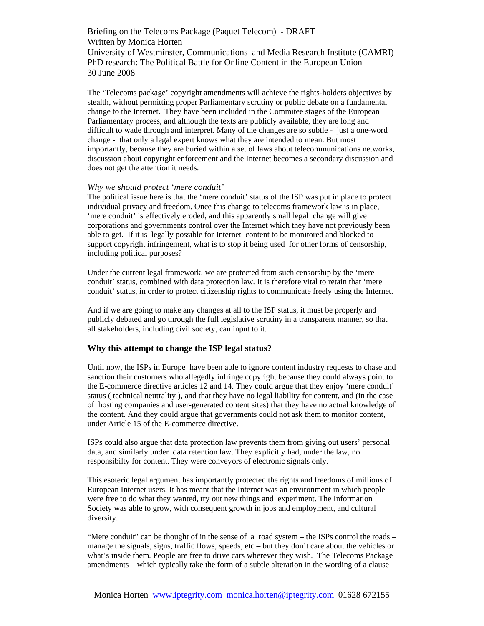The 'Telecoms package' copyright amendments will achieve the rights-holders objectives by stealth, without permitting proper Parliamentary scrutiny or public debate on a fundamental change to the Internet. They have been included in the Commitee stages of the European Parliamentary process, and although the texts are publicly available, they are long and difficult to wade through and interpret. Many of the changes are so subtle - just a one-word change - that only a legal expert knows what they are intended to mean. But most importantly, because they are buried within a set of laws about telecommunications networks, discussion about copyright enforcement and the Internet becomes a secondary discussion and does not get the attention it needs.

## *Why we should protect 'mere conduit'*

The political issue here is that the 'mere conduit' status of the ISP was put in place to protect individual privacy and freedom. Once this change to telecoms framework law is in place, 'mere conduit' is effectively eroded, and this apparently small legal change will give corporations and governments control over the Internet which they have not previously been able to get. If it is legally possible for Internet content to be monitored and blocked to support copyright infringement, what is to stop it being used for other forms of censorship, including political purposes?

Under the current legal framework, we are protected from such censorship by the 'mere conduit' status, combined with data protection law. It is therefore vital to retain that 'mere conduit' status, in order to protect citizenship rights to communicate freely using the Internet.

And if we are going to make any changes at all to the ISP status, it must be properly and publicly debated and go through the full legislative scrutiny in a transparent manner, so that all stakeholders, including civil society, can input to it.

# **Why this attempt to change the ISP legal status?**

Until now, the ISPs in Europe have been able to ignore content industry requests to chase and sanction their customers who allegedly infringe copyright because they could always point to the E-commerce directive articles 12 and 14. They could argue that they enjoy 'mere conduit' status ( technical neutrality ), and that they have no legal liability for content, and (in the case of hosting companies and user-generated content sites) that they have no actual knowledge of the content. And they could argue that governments could not ask them to monitor content, under Article 15 of the E-commerce directive.

ISPs could also argue that data protection law prevents them from giving out users' personal data, and similarly under data retention law. They explicitly had, under the law, no responsibilty for content. They were conveyors of electronic signals only.

This esoteric legal argument has importantly protected the rights and freedoms of millions of European Internet users. It has meant that the Internet was an environment in which people were free to do what they wanted, try out new things and experiment. The Information Society was able to grow, with consequent growth in jobs and employment, and cultural diversity.

"Mere conduit" can be thought of in the sense of a road system – the ISPs control the roads – manage the signals, signs, traffic flows, speeds, etc – but they don't care about the vehicles or what's inside them. People are free to drive cars wherever they wish. The Telecoms Package amendments – which typically take the form of a subtle alteration in the wording of a clause –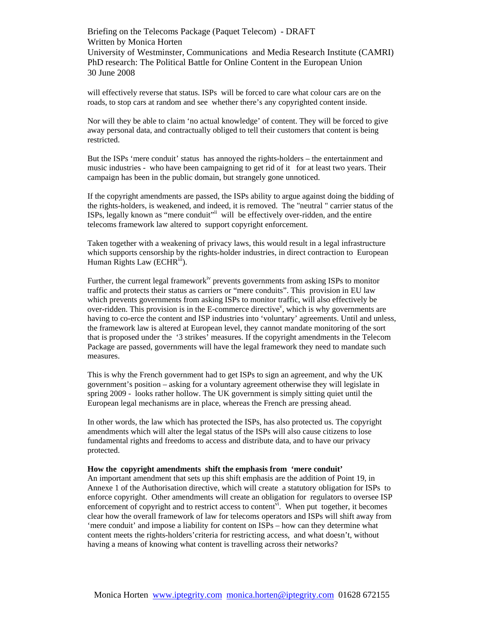will effectively reverse that status. ISPs will be forced to care what colour cars are on the roads, to stop cars at random and see whether there's any copyrighted content inside.

Nor will they be able to claim 'no actual knowledge' of content. They will be forced to give away personal data, and contractually obliged to tell their customers that content is being restricted.

But the ISPs 'mere conduit' status has annoyed the rights-holders – the entertainment and music industries - who have been campaigning to get rid of it for at least two years. Their campaign has been in the public domain, but strangely gone unnoticed.

If the copyright amendments are passed, the ISPs ability to argue against doing the bidding of the rights-holders, is weakened, and indeed, it is removed. The "neutral " carrier status of the ISPs, legally known as "mere conduit"ii will be effectively over-ridden, and the entire telecoms framework law altered to support copyright enforcement.

Taken together with a weakening of privacy laws, this would result in a legal infrastructure which supports censorship by the rights-holder industries, in direct contraction to European Human Rights Law (ECHR<sup>iii</sup>).

Further, the current legal framework<sup>iv</sup> prevents governments from asking ISPs to monitor traffic and protects their status as carriers or "mere conduits". This provision in EU law which prevents governments from asking ISPs to monitor traffic, will also effectively be over-ridden. This provision is in the E-commerce directive<sup>v</sup>, which is why governments are having to co-erce the content and ISP industries into 'voluntary' agreements. Until and unless, the framework law is altered at European level, they cannot mandate monitoring of the sort that is proposed under the '3 strikes' measures. If the copyright amendments in the Telecom Package are passed, governments will have the legal framework they need to mandate such measures.

This is why the French government had to get ISPs to sign an agreement, and why the UK government's position – asking for a voluntary agreement otherwise they will legislate in spring 2009 - looks rather hollow. The UK government is simply sitting quiet until the European legal mechanisms are in place, whereas the French are pressing ahead.

In other words, the law which has protected the ISPs, has also protected us. The copyright amendments which will alter the legal status of the ISPs will also cause citizens to lose fundamental rights and freedoms to access and distribute data, and to have our privacy protected.

### **How the copyright amendments shift the emphasis from 'mere conduit'**

An important amendment that sets up this shift emphasis are the addition of Point 19, in Annexe 1 of the Authorisation directive, which will create a statutory obligation for ISPs to enforce copyright. Other amendments will create an obligation for regulators to oversee ISP enforcement of copyright and to restrict access to content<sup> $\mathbf{v}$ </sup>. When put together, it becomes clear how the overall framework of law for telecoms operators and ISPs will shift away from 'mere conduit' and impose a liability for content on ISPs – how can they determine what content meets the rights-holders'criteria for restricting access, and what doesn't, without having a means of knowing what content is travelling across their networks?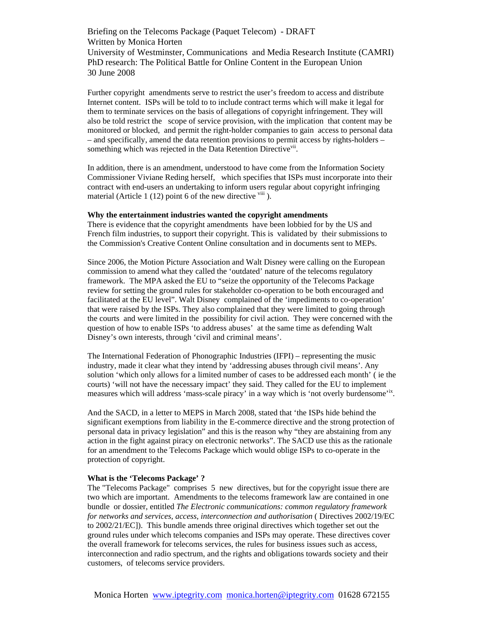Further copyright amendments serve to restrict the user's freedom to access and distribute Internet content. ISPs will be told to to include contract terms which will make it legal for them to terminate services on the basis of allegations of copyright infringement. They will also be told restrict the scope of service provision, with the implication that content may be monitored or blocked, and permit the right-holder companies to gain access to personal data – and specifically, amend the data retention provisions to permit access by rights-holders – something which was rejected in the Data Retention Directive<sup>vii</sup>.

In addition, there is an amendment, understood to have come from the Information Society Commissioner Viviane Reding herself, which specifies that ISPs must incorporate into their contract with end-users an undertaking to inform users regular about copyright infringing material (Article 1 (12) point 6 of the new directive  $\frac{v}{u}$ ).

#### **Why the entertainment industries wanted the copyright amendments**

There is evidence that the copyright amendments have been lobbied for by the US and French film industries, to support their copyright. This is validated by their submissions to the Commission's Creative Content Online consultation and in documents sent to MEPs.

Since 2006, the Motion Picture Association and Walt Disney were calling on the European commission to amend what they called the 'outdated' nature of the telecoms regulatory framework. The MPA asked the EU to "seize the opportunity of the Telecoms Package review for setting the ground rules for stakeholder co-operation to be both encouraged and facilitated at the EU level". Walt Disney complained of the 'impediments to co-operation' that were raised by the ISPs. They also complained that they were limited to going through the courts and were limited in the possibility for civil action. They were concerned with the question of how to enable ISPs 'to address abuses' at the same time as defending Walt Disney's own interests, through 'civil and criminal means'.

The International Federation of Phonographic Industries (IFPI) – representing the music industry, made it clear what they intend by 'addressing abuses through civil means'. Any solution 'which only allows for a limited number of cases to be addressed each month' ( ie the courts) 'will not have the necessary impact' they said. They called for the EU to implement measures which will address 'mass-scale piracy' in a way which is 'not overly burdensome'<sup>ix</sup>.

And the SACD, in a letter to MEPS in March 2008, stated that 'the ISPs hide behind the significant exemptions from liability in the E-commerce directive and the strong protection of personal data in privacy legislation" and this is the reason why "they are abstaining from any action in the fight against piracy on electronic networks". The SACD use this as the rationale for an amendment to the Telecoms Package which would oblige ISPs to co-operate in the protection of copyright.

# **What is the 'Telecoms Package' ?**

The "Telecoms Package" comprises 5 new directives, but for the copyright issue there are two which are important. Amendments to the telecoms framework law are contained in one bundle or dossier, entitled *The Electronic communications: common regulatory framework for networks and services, access, interconnection and authorisation* ( Directives 2002/19/EC to 2002/21/EC]). This bundle amends three original directives which together set out the ground rules under which telecoms companies and ISPs may operate. These directives cover the overall framework for telecoms services, the rules for business issues such as access, interconnection and radio spectrum, and the rights and obligations towards society and their customers, of telecoms service providers.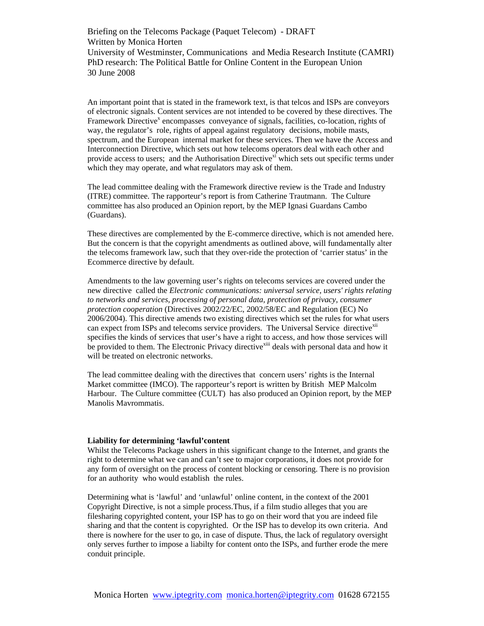An important point that is stated in the framework text, is that telcos and ISPs are conveyors of electronic signals. Content services are not intended to be covered by these directives. The Framework Directive<sup>x</sup> encompasses conveyance of signals, facilities, co-location, rights of way, the regulator's role, rights of appeal against regulatory decisions, mobile masts, spectrum, and the European internal market for these services. Then we have the Access and Interconnection Directive, which sets out how telecoms operators deal with each other and provide access to users; and the Authorisation Directive<sup>xi</sup> which sets out specific terms under which they may operate, and what regulators may ask of them.

The lead committee dealing with the Framework directive review is the Trade and Industry (ITRE) committee. The rapporteur's report is from Catherine Trautmann. The Culture committee has also produced an Opinion report, by the MEP Ignasi Guardans Cambo (Guardans).

These directives are complemented by the E-commerce directive, which is not amended here. But the concern is that the copyright amendments as outlined above, will fundamentally alter the telecoms framework law, such that they over-ride the protection of 'carrier status' in the Ecommerce directive by default.

Amendments to the law governing user's rights on telecoms services are covered under the new directive called the *Electronic communications: universal service, users' rights relating to networks and services, processing of personal data, protection of privacy, consumer protection cooperation* (Directives 2002/22/EC, 2002/58/EC and Regulation (EC) No 2006/2004). This directive amends two existing directives which set the rules for what users can expect from ISPs and telecoms service providers. The Universal Service directive<sup>xii</sup> specifies the kinds of services that user's have a right to access, and how those services will be provided to them. The Electronic Privacy directive<sup>xiii</sup> deals with personal data and how it will be treated on electronic networks.

The lead committee dealing with the directives that concern users' rights is the Internal Market committee (IMCO). The rapporteur's report is written by British MEP Malcolm Harbour. The Culture committee (CULT) has also produced an Opinion report, by the MEP Manolis Mavrommatis.

#### **Liability for determining 'lawful'content**

Whilst the Telecoms Package ushers in this significant change to the Internet, and grants the right to determine what we can and can't see to major corporations, it does not provide for any form of oversight on the process of content blocking or censoring. There is no provision for an authority who would establish the rules.

Determining what is 'lawful' and 'unlawful' online content, in the context of the 2001 Copyright Directive, is not a simple process.Thus, if a film studio alleges that you are filesharing copyrighted content, your ISP has to go on their word that you are indeed file sharing and that the content is copyrighted. Or the ISP has to develop its own criteria. And there is nowhere for the user to go, in case of dispute. Thus, the lack of regulatory oversight only serves further to impose a liabilty for content onto the ISPs, and further erode the mere conduit principle.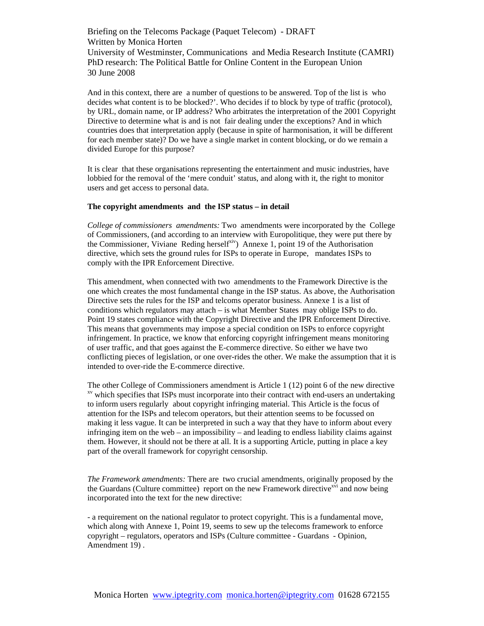And in this context, there are a number of questions to be answered. Top of the list is who decides what content is to be blocked?'. Who decides if to block by type of traffic (protocol), by URL, domain name, or IP address? Who arbitrates the interpretation of the 2001 Copyright Directive to determine what is and is not fair dealing under the exceptions? And in which countries does that interpretation apply (because in spite of harmonisation, it will be different for each member state)? Do we have a single market in content blocking, or do we remain a divided Europe for this purpose?

It is clear that these organisations representing the entertainment and music industries, have lobbied for the removal of the 'mere conduit' status, and along with it, the right to monitor users and get access to personal data.

#### **The copyright amendments and the ISP status – in detail**

*College of commissioners amendments:* Two amendments were incorporated by the College of Commissioners, (and according to an interview with Europolitique, they were put there by the Commissioner, Viviane Reding herself<sup>xiv</sup>) Annexe 1, point 19 of the Authorisation directive, which sets the ground rules for ISPs to operate in Europe, mandates ISPs to comply with the IPR Enforcement Directive.

This amendment, when connected with two amendments to the Framework Directive is the one which creates the most fundamental change in the ISP status. As above, the Authorisation Directive sets the rules for the ISP and telcoms operator business. Annexe 1 is a list of conditions which regulators may attach – is what Member States may oblige ISPs to do. Point 19 states compliance with the Copyright Directive and the IPR Enforcement Directive. This means that governments may impose a special condition on ISPs to enforce copyright infringement. In practice, we know that enforcing copyright infringement means monitoring of user traffic, and that goes against the E-commerce directive. So either we have two conflicting pieces of legislation, or one over-rides the other. We make the assumption that it is intended to over-ride the E-commerce directive.

The other College of Commissioners amendment is Article 1 (12) point 6 of the new directive  $\frac{xy}{x}$  which specifies that ISPs must incorporate into their contract with end-users an undertaking to inform users regularly about copyright infringing material. This Article is the focus of attention for the ISPs and telecom operators, but their attention seems to be focussed on making it less vague. It can be interpreted in such a way that they have to inform about every infringing item on the web – an impossibility – and leading to endless liability claims against them. However, it should not be there at all. It is a supporting Article, putting in place a key part of the overall framework for copyright censorship.

*The Framework amendments:* There are two crucial amendments, originally proposed by the the Guardans (Culture committee) report on the new Framework directive<sup> $xvi$ </sup> and now being incorporated into the text for the new directive:

- a requirement on the national regulator to protect copyright. This is a fundamental move, which along with Annexe 1, Point 19, seems to sew up the telecoms framework to enforce copyright – regulators, operators and ISPs (Culture committee - Guardans - Opinion, Amendment 19) .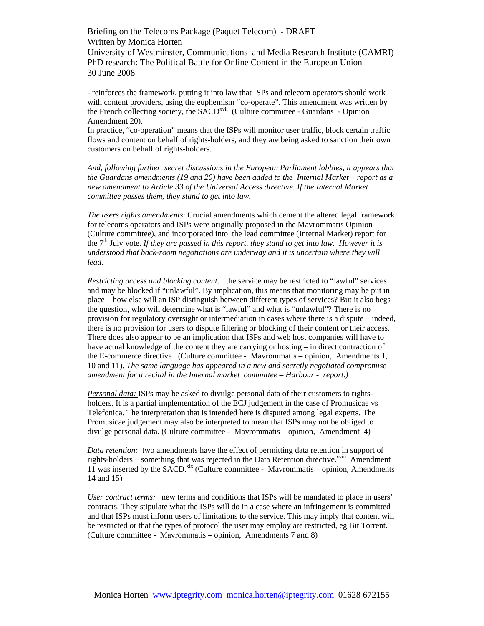- reinforces the framework, putting it into law that ISPs and telecom operators should work with content providers, using the euphemism "co-operate". This amendment was written by the French collecting society, the SACD<sup>xvii</sup> (Culture committee - Guardans - Opinion Amendment 20).

In practice, "co-operation" means that the ISPs will monitor user traffic, block certain traffic flows and content on behalf of rights-holders, and they are being asked to sanction their own customers on behalf of rights-holders.

*And, following further secret discussions in the European Parliament lobbies, it appears that the Guardans amendments (19 and 20) have been added to the Internal Market – report as a new amendment to Article 33 of the Universal Access directive. If the Internal Market committee passes them, they stand to get into law.* 

*The users rights amendments*: Crucial amendments which cement the altered legal framework for telecoms operators and ISPs were originally proposed in the Mavrommatis Opinion (Culture committee), and incorporated into the lead committee (Internal Market) report for the 7th July vote. *If they are passed in this report, they stand to get into law. However it is understood that back-room negotiations are underway and it is uncertain where they will lead.* 

*Restricting access and blocking content:* the service may be restricted to "lawful" services and may be blocked if "unlawful". By implication, this means that monitoring may be put in place – how else will an ISP distinguish between different types of services? But it also begs the question, who will determine what is "lawful" and what is "unlawful"? There is no provision for regulatory oversight or intermediation in cases where there is a dispute – indeed, there is no provision for users to dispute filtering or blocking of their content or their access. There does also appear to be an implication that ISPs and web host companies will have to have actual knowledge of the content they are carrying or hosting – in direct contraction of the E-commerce directive. (Culture committee - Mavrommatis – opinion, Amendments 1, 10 and 11). *The same language has appeared in a new and secretly negotiated compromise amendment for a recital in the Internal market committee – Harbour - report.)* 

*Personal data:* ISPs may be asked to divulge personal data of their customers to rightsholders. It is a partial implementation of the ECJ judgement in the case of Promusicae vs Telefonica. The interpretation that is intended here is disputed among legal experts. The Promusicae judgement may also be interpreted to mean that ISPs may not be obliged to divulge personal data. (Culture committee - Mavrommatis – opinion, Amendment 4)

*Data retention:* two amendments have the effect of permitting data retention in support of rights-holders – something that was rejected in the Data Retention directive. $x^{x^{\text{viii}}}$  Amendment 11 was inserted by the SACD.<sup>xix</sup> (Culture committee - Mavrommatis – opinion, Amendments 14 and 15)

*User contract terms:* new terms and conditions that ISPs will be mandated to place in users' contracts. They stipulate what the ISPs will do in a case where an infringement is committed and that ISPs must inform users of limitations to the service. This may imply that content will be restricted or that the types of protocol the user may employ are restricted, eg Bit Torrent. (Culture committee - Mavrommatis – opinion, Amendments 7 and 8)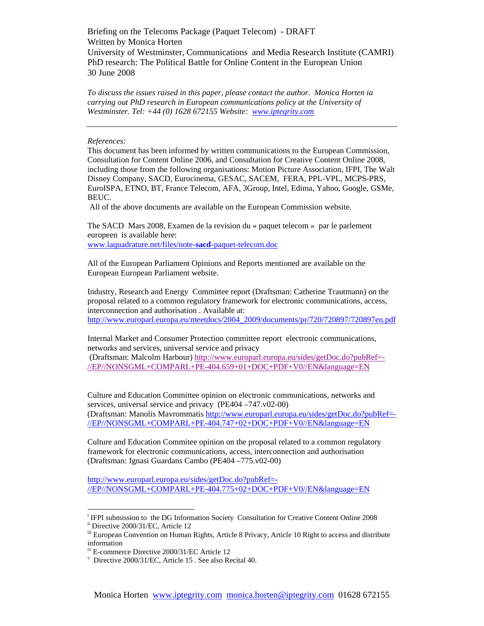*To discuss the issues raised in this paper, please contact the author. Monica Horten ia carrying out PhD research in European communications policy at the University of Westminster. Tel: +44 (0) 1628 672155 Website: www.iptegrity.com* 

*References:* 

This document has been informed by written communications to the European Commission, Consultation for Content Online 2006, and Consultation for Creative Content Online 2008, including those from the following organisations: Motion Picture Association, IFPI, The Walt Disney Company, SACD, Eurocinema, GESAC, SACEM, FERA, PPL-VPL, MCPS-PRS, EuroISPA, ETNO, BT, France Telecom, AFA, 3Group, Intel, Edima, Yahoo, Google, GSMe, BEUC.

All of the above documents are available on the European Commission website.

The SACD Mars 2008, Examen de la revision du « paquet telecom » par le parlement europeen is available here: www.laquadrature.net/files/note-**sacd**-paquet-telecom.doc

All of the European Parliament Opinions and Reports mentioned are available on the European European Parliament website.

Industry, Research and Energy Committee report (Draftsman: Catherine Trautmann) on the proposal related to a common regulatory framework for electronic communications, access, interconnection and authorisation . Available at: http://www.europarl.europa.eu/meetdocs/2004\_2009/documents/pr/720/720897/720897en.pdf

Internal Market and Consumer Protection committee report electronic communications, networks and services, universal service and privacy

 (Draftsman: Malcolm Harbour) http://www.europarl.europa.eu/sides/getDoc.do?pubRef=- //EP//NONSGML+COMPARL+PE-404.659+01+DOC+PDF+V0//EN&language=EN

Culture and Education Committee opinion on electronic communications, networks and services, universal service and privacy (PE404 –747.v02-00) (Draftsman: Manolis Mavrommatis http://www.europarl.europa.eu/sides/getDoc.do?pubRef=- //EP//NONSGML+COMPARL+PE-404.747+02+DOC+PDF+V0//EN&language=EN

Culture and Education Commitee opinion on the proposal related to a common regulatory framework for electronic communications, access, interconnection and authorisation (Draftsman: Ignasi Guardans Cambo (PE404 –775.v02-00)

http://www.europarl.europa.eu/sides/getDoc.do?pubRef=- //EP//NONSGML+COMPARL+PE-404.775+02+DOC+PDF+V0//EN&language=EN

 $\overline{\phantom{a}}$ 

<sup>&</sup>lt;sup>i</sup> IFPI submission to the DG Information Society Consultation for Creative Content Online 2008 ii Directive 2000/31/EC, Article 12

iii European Convention on Human Rights, Article 8 Privacy, Article 10 Right to access and distribute information

iv E-commerce Directive 2000/31/EC Article 12

v Directive 2000/31/EC, Article 15 . See also Recital 40.